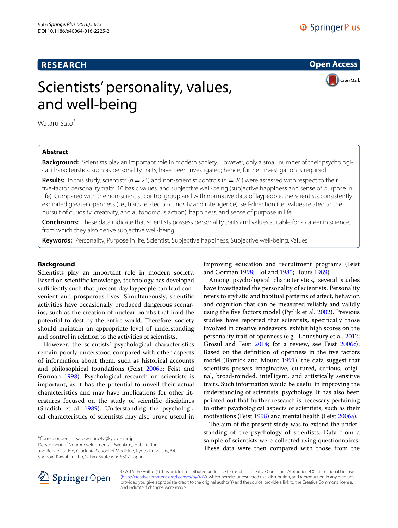# **RESEARCH**

**Open Access**

CrossMark

# Scientists' personality, values, and well-being

Wataru Sato<sup>\*</sup>

## **Abstract**

**Background:** Scientists play an important role in modern society. However, only a small number of their psychological characteristics, such as personality traits, have been investigated; hence, further investigation is required.

**Results:** In this study, scientists ( $n = 24$ ) and non-scientist controls ( $n = 26$ ) were assessed with respect to their five-factor personality traits, 10 basic values, and subjective well-being (subjective happiness and sense of purpose in life). Compared with the non-scientist control group and with normative data of laypeople, the scientists consistently exhibited greater openness (i.e., traits related to curiosity and intelligence), self-direction (i.e., values related to the pursuit of curiosity, creativity, and autonomous action), happiness, and sense of purpose in life.

**Conclusions:** These data indicate that scientists possess personality traits and values suitable for a career in science, from which they also derive subjective well-being.

**Keywords:** Personality, Purpose in life, Scientist, Subjective happiness, Subjective well-being, Values

## <span id="page-0-0"></span>**Background**

Scientists play an important role in modern society. Based on scientific knowledge, technology has developed sufficiently such that present-day laypeople can lead convenient and prosperous lives. Simultaneously, scientific activities have occasionally produced dangerous scenarios, such as the creation of nuclear bombs that hold the potential to destroy the entire world. Therefore, society should maintain an appropriate level of understanding and control in relation to the activities of scientists.

However, the scientists' psychological characteristics remain poorly understood compared with other aspects of information about them, such as historical accounts and philosophical foundations (Feist [2006b;](#page-5-0) Feist and Gorman [1998\)](#page-5-1). Psychological research on scientists is important, as it has the potential to unveil their actual characteristics and may have implications for other literatures focused on the study of scientific disciplines (Shadish et al. [1989](#page-5-2)). Understanding the psychological characteristics of scientists may also prove useful in

\*Correspondence: sato.wataru.4v@kyoto-u.ac.jp

Department of Neurodevelopmental Psychiatry, Habilitation and Rehabilitation, Graduate School of Medicine, Kyoto University, 54 Shogoin-Kawaharacho, Sakyo, Kyoto 606-8507, Japan

improving education and recruitment programs (Feist and Gorman [1998;](#page-5-1) Holland [1985](#page-5-3); Houts [1989\)](#page-5-4).

Among psychological characteristics, several studies have investigated the personality of scientists. Personality refers to stylistic and habitual patterns of affect, behavior, and cognition that can be measured reliably and validly using the five factors model (Pytlik et al. [2002\)](#page-5-5). Previous studies have reported that scientists, specifically those involved in creative endeavors, exhibit high scores on the personality trait of openness (e.g., Lounsbury et al. [2012](#page-5-6); Grosul and Feist [2014;](#page-5-7) for a review, see Feist [2006c](#page-5-8)). Based on the definition of openness in the five factors model (Barrick and Mount [1991\)](#page-5-9), the data suggest that scientists possess imaginative, cultured, curious, original, broad-minded, intelligent, and artistically sensitive traits. Such information would be useful in improving the understanding of scientists' psychology. It has also been pointed out that further research is necessary pertaining to other psychological aspects of scientists, such as their motivations (Feist [1998\)](#page-5-10) and mental health (Feist [2006a](#page-5-11)).

The aim of the present study was to extend the understanding of the psychology of scientists. Data from a sample of scientists were collected using questionnaires. These data were then compared with those from the



© 2016 The Author(s). This article is distributed under the terms of the Creative Commons Attribution 4.0 International License [\(http://creativecommons.org/licenses/by/4.0/\)](http://creativecommons.org/licenses/by/4.0/), which permits unrestricted use, distribution, and reproduction in any medium, provided you give appropriate credit to the original author(s) and the source, provide a link to the Creative Commons license, and indicate if changes were made.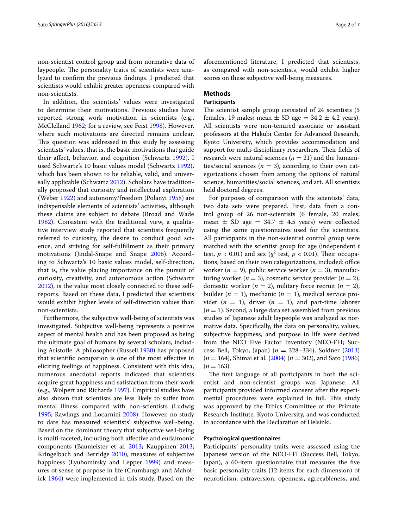non-scientist control group and from normative data of laypeople. The personality traits of scientists were analyzed to confirm the previous findings. I predicted that scientists would exhibit greater openness compared with non-scientists.

In addition, the scientists' values were investigated to determine their motivations. Previous studies have reported strong work motivation in scientists (e.g., McClelland [1962](#page-5-12); for a review, see Feist [1998\)](#page-5-10). However, where such motivations are directed remains unclear. This question was addressed in this study by assessing scientists' values, that is, the basic motivations that guide their affect, behavior, and cognition (Schwartz [1992\)](#page-5-13). I used Schwartz's 10 basic values model (Schwartz [1992](#page-5-13)), which has been shown to be reliable, valid, and univer-sally applicable (Schwartz [2012](#page-5-14)). Scholars have traditionally proposed that curiosity and intellectual exploration (Weber [1922\)](#page-6-0) and autonomy/freedom (Polanyi [1958](#page-5-15)) are indispensable elements of scientists' activities, although these claims are subject to debate (Broad and Wade [1982\)](#page-5-16). Consistent with the traditional view, a qualitative interview study reported that scientists frequently referred to curiosity, the desire to conduct good science, and striving for self-fulfillment as their primary motivations (Jindal-Snape and Snape [2006](#page-5-17)). According to Schwartz's 10 basic values model, self-direction, that is, the value placing importance on the pursuit of curiosity, creativity, and autonomous action (Schwartz [2012\)](#page-5-14), is the value most closely connected to these selfreports. Based on these data, I predicted that scientists would exhibit higher levels of self-direction values than non-scientists.

Furthermore, the subjective well-being of scientists was investigated. Subjective well-being represents a positive aspect of mental health and has been proposed as being the ultimate goal of humans by several scholars, including Aristotle. A philosopher (Russell [1930](#page-5-18)) has proposed that scientific occupation is one of the most effective in eliciting feelings of happiness. Consistent with this idea, numerous anecdotal reports indicated that scientists acquire great happiness and satisfaction from their work (e.g., Wolpert and Richards [1997\)](#page-6-1). Empirical studies have also shown that scientists are less likely to suffer from mental illness compared with non-scientists (Ludwig [1995](#page-5-19); Rawlings and Locarnini [2008\)](#page-5-20). However, no study to date has measured scientists' subjective well-being. Based on the dominant theory that subjective well-being is multi-faceted, including both affective and eudaimonic components (Baumeister et al. [2013](#page-5-21); Kauppinen [2013](#page-5-22); Kringelbach and Berridge [2010](#page-5-23)), measures of subjective happiness (Lyubomirsky and Lepper [1999](#page-5-24)) and measures of sense of purpose in life (Crumbaugh and Maholick [1964\)](#page-5-25) were implemented in this study. Based on the aforementioned literature, I predicted that scientists, as compared with non-scientists, would exhibit higher scores on these subjective well-being measures.

## **Methods**

#### **Participants**

The scientist sample group consisted of 24 scientists (5 females, 19 males; mean  $\pm$  SD age = 34.2  $\pm$  4.2 years). All scientists were non-tenured associate or assistant professors at the Hakubi Center for Advanced Research, Kyoto University, which provides accommodation and support for multi-disciplinary researchers. Their fields of research were natural sciences  $(n = 21)$  and the humanities/social sciences ( $n = 3$ ), according to their own categorizations chosen from among the options of natural science, humanities/social sciences, and art. All scientists held doctoral degrees.

For purposes of comparison with the scientists' data, two data sets were prepared. First, data from a control group of 26 non-scientists (6 female, 20 males; mean  $\pm$  SD age = 34.7  $\pm$  4.5 years) were collected using the same questionnaires used for the scientists. All participants in the non-scientist control group were matched with the scientist group for age (independent *t* test,  $p < 0.01$ ) and sex ( $\chi^2$  test,  $p < 0.01$ ). Their occupations, based on their own categorizations, included: office worker (*n* = 9), public service worker (*n* = 3), manufacturing worker ( $n = 3$ ), cosmetic service provider ( $n = 2$ ), domestic worker  $(n = 2)$ , military force recruit  $(n = 2)$ , builder ( $n = 1$ ), mechanic ( $n = 1$ ), medical service provider  $(n = 1)$ , driver  $(n = 1)$ , and part-time laborer  $(n = 1)$ . Second, a large data set assembled from previous studies of Japanese adult laypeople was analyzed as normative data. Specifically, the data on personality, values, subjective happiness, and purpose in life were derived from the NEO Five Factor Inventory (NEO-FFI; Success Bell, Tokyo, Japan) (*n* = 328–334), Soldner ([2013](#page-6-2)) (*n* = 164), Shimai et al. ([2004\)](#page-6-3) (*n* = 302), and Sato ([1986](#page-5-26))  $(n = 163)$ .

The first language of all participants in both the scientist and non-scientist groups was Japanese. All participants provided informed consent after the experimental procedures were explained in full. This study was approved by the Ethics Committee of the Primate Research Institute, Kyoto University, and was conducted in accordance with the Declaration of Helsinki.

#### **Psychological questionnaires**

Participants' personality traits were assessed using the Japanese version of the NEO-FFI (Success Bell, Tokyo, Japan), a 60-item questionnaire that measures the five basic personality traits (12 items for each dimension) of neuroticism, extraversion, openness, agreeableness, and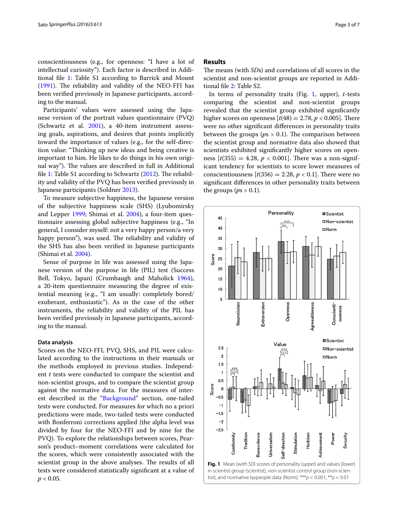conscientiousness (e.g., for openness: "I have a lot of intellectual curiosity"). Each factor is described in Additional file [1:](#page-5-27) Table S1 according to Barrick and Mount ([1991\)](#page-5-9). The reliability and validity of the NEO-FFI has been verified previously in Japanese participants, according to the manual.

Participants' values were assessed using the Japanese version of the portrait values questionnaire (PVQ) (Schwartz et al. [2001\)](#page-5-28), a 40-item instrument assessing goals, aspirations, and desires that points implicitly toward the importance of values (e.g., for the self-direction value: "Thinking up new ideas and being creative is important to him. He likes to do things in his own original way"). The values are described in full in Additional file [1](#page-5-27): Table S1 according to Schwartz ([2012\)](#page-5-14). The reliability and validity of the PVQ has been verified previously in Japanese participants (Soldner [2013\)](#page-6-2).

To measure subjective happiness, the Japanese version of the subjective happiness scale (SHS) (Lyubomirsky and Lepper [1999](#page-5-24); Shimai et al. [2004\)](#page-6-3), a four-item questionnaire assessing global subjective happiness (e.g., "In general, I consider myself: not a very happy person/a very happy person"), was used. The reliability and validity of the SHS has also been verified in Japanese participants (Shimai et al. [2004\)](#page-6-3).

Sense of purpose in life was assessed using the Japanese version of the purpose in life (PIL) test (Success Bell, Tokyo, Japan) (Crumbaugh and Maholick [1964](#page-5-25)), a 20-item questionnaire measuring the degree of existential meaning (e.g., "I am usually: completely bored/ exuberant, enthusiastic"). As in the case of the other instruments, the reliability and validity of the PIL has been verified previously in Japanese participants, according to the manual.

#### **Data analysis**

<span id="page-2-0"></span>Scores on the NEO-FFI, PVQ, SHS, and PIL were calculated according to the instructions in their manuals or the methods employed in previous studies. Independent *t* tests were conducted to compare the scientist and non-scientist groups, and to compare the scientist group against the normative data. For the measures of interest described in the "[Background](#page-0-0)" section, one-tailed tests were conducted. For measures for which no a priori predictions were made, two-tailed tests were conducted with Bonferroni corrections applied (the alpha level was divided by four for the NEO-FFI and by nine for the PVQ). To explore the relationships between scores, Pearson's product–moment correlations were calculated for the scores, which were consistently associated with the scientist group in the above analyses. The results of all tests were considered statistically significant at a value of  $p < 0.05$ .

#### **Results**

The means (with *SD*s) and correlations of all scores in the scientist and non-scientist groups are reported in Additional file [2](#page-5-29): Table S2.

In terms of personality traits (Fig. [1](#page-2-0), upper), *t*-tests comparing the scientist and non-scientist groups revealed that the scientist group exhibited significantly higher scores on openness  $[t(48) = 2.78, p < 0.005]$ . There were no other significant differences in personality traits between the groups ( $ps > 0.1$ ). The comparison between the scientist group and normative data also showed that scientists exhibited significantly higher scores on openness  $[t(355) = 4.28, p < 0.001]$ . There was a non-significant tendency for scientists to score lower measures of conscientiousness  $[t(356) = 2.28, p < 0.1]$ . There were no significant differences in other personality traits between the groups ( $ps > 0.1$ ).

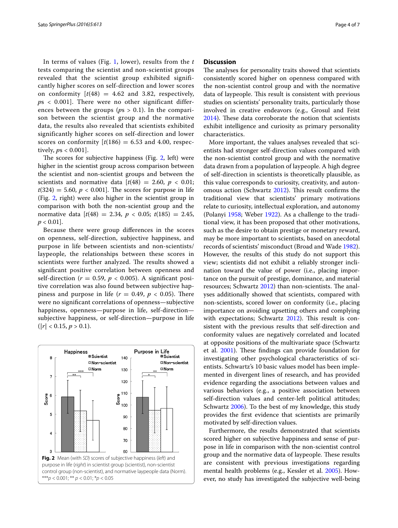In terms of values (Fig. [1,](#page-2-0) lower), results from the *t* tests comparing the scientist and non-scientist groups revealed that the scientist group exhibited significantly higher scores on self-direction and lower scores on conformity  $[t(48) = 4.62$  and 3.82, respectively, *p*s < 0.001]. There were no other significant differences between the groups ( $ps > 0.1$ ). In the comparison between the scientist group and the normative data, the results also revealed that scientists exhibited significantly higher scores on self-direction and lower scores on conformity  $[t(186) = 6.53$  and 4.00, respectively, *p*s < 0.001].

The scores for subjective happiness (Fig. [2,](#page-3-0) left) were higher in the scientist group across comparison between the scientist and non-scientist groups and between the scientists and normative data  $[t(48) = 2.60, p < 0.01;$  $t(324) = 5.60, p < 0.001$ . The scores for purpose in life (Fig. [2](#page-3-0), right) were also higher in the scientist group in comparison with both the non-scientist group and the normative data  $[t(48) = 2.34, p < 0.05; t(185) = 2.45,$ *p* < 0.01].

Because there were group differences in the scores on openness, self-direction, subjective happiness, and purpose in life between scientists and non-scientists/ laypeople, the relationships between these scores in scientists were further analyzed. The results showed a significant positive correlation between openness and self-direction ( $r = 0.59$ ,  $p < 0.005$ ). A significant positive correlation was also found between subjective happiness and purpose in life  $(r = 0.49, p < 0.05)$ . There were no significant correlations of openness—subjective happiness, openness—purpose in life, self-direction subjective happiness, or self-direction—purpose in life  $(|r| < 0.15, p > 0.1$ ).

<span id="page-3-0"></span>

#### **Discussion**

The analyses for personality traits showed that scientists consistently scored higher on openness compared with the non-scientist control group and with the normative data of laypeople. This result is consistent with previous studies on scientists' personality traits, particularly those involved in creative endeavors (e.g., Grosul and Feist [2014](#page-5-7)). These data corroborate the notion that scientists exhibit intelligence and curiosity as primary personality characteristics.

More important, the values analyses revealed that scientists had stronger self-direction values compared with the non-scientist control group and with the normative data drawn from a population of laypeople. A high degree of self-direction in scientists is theoretically plausible, as this value corresponds to curiosity, creativity, and autonomous action (Schwartz [2012](#page-5-14)). This result confirms the traditional view that scientists' primary motivations relate to curiosity, intellectual exploration, and autonomy (Polanyi [1958;](#page-5-15) Weber [1922](#page-6-0)). As a challenge to the traditional view, it has been proposed that other motivations, such as the desire to obtain prestige or monetary reward, may be more important to scientists, based on anecdotal records of scientists' misconduct (Broad and Wade [1982](#page-5-16)). However, the results of this study do not support this view; scientists did not exhibit a reliably stronger inclination toward the value of power (i.e., placing importance on the pursuit of prestige, dominance, and material resources; Schwartz [2012](#page-5-14)) than non-scientists. The analyses additionally showed that scientists, compared with non-scientists, scored lower on conformity (i.e., placing importance on avoiding upsetting others and complying with expectations; Schwartz [2012\)](#page-5-14). This result is consistent with the previous results that self-direction and conformity values are negatively correlated and located at opposite positions of the multivariate space (Schwartz et al. [2001\)](#page-5-28). These findings can provide foundation for investigating other psychological characteristics of scientists. Schwartz's 10 basic values model has been implemented in divergent lines of research, and has provided evidence regarding the associations between values and various behaviors (e.g., a positive association between self-direction values and center-left political attitudes; Schwartz [2006](#page-5-30)). To the best of my knowledge, this study provides the first evidence that scientists are primarily motivated by self-direction values.

Furthermore, the results demonstrated that scientists scored higher on subjective happiness and sense of purpose in life in comparison with the non-scientist control group and the normative data of laypeople. These results are consistent with previous investigations regarding mental health problems (e.g., Kessler et al. [2005](#page-5-31)). However, no study has investigated the subjective well-being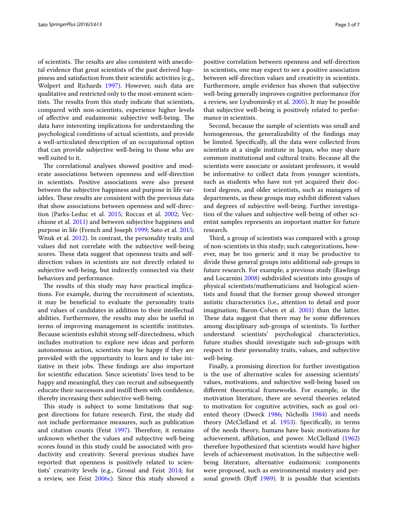of scientists. The results are also consistent with anecdotal evidence that great scientists of the past derived happiness and satisfaction from their scientific activities (e.g., Wolpert and Richards [1997\)](#page-6-1). However, such data are qualitative and restricted only to the most-eminent scientists. The results from this study indicate that scientists, compared with non-scientists, experience higher levels of affective and eudaimonic subjective well-being. The data have interesting implications for understanding the psychological conditions of actual scientists, and provide a well-articulated description of an occupational option that can provide subjective well-being to those who are well suited to it.

The correlational analyses showed positive and moderate associations between openness and self-direction in scientists. Positive associations were also present between the subjective happiness and purpose in life variables. These results are consistent with the previous data that show associations between openness and self-direction (Parks-Leduc et al. [2015](#page-5-32); Roccas et al. [2002;](#page-5-33) Vecchione et al. [2011](#page-6-4)) and between subjective happiness and purpose in life (French and Joseph [1999;](#page-5-34) Sato et al. [2015](#page-5-35); Wnuk et al. [2012](#page-6-5)). In contrast, the personality traits and values did not correlate with the subjective well-being scores. These data suggest that openness traits and selfdirection values in scientists are not directly related to subjective well-being, but indirectly connected via their behaviors and performance.

The results of this study may have practical implications. For example, during the recruitment of scientists, it may be beneficial to evaluate the personality traits and values of candidates in addition to their intellectual abilities. Furthermore, the results may also be useful in terms of improving management in scientific institutes. Because scientists exhibit strong self-directedness, which includes motivation to explore new ideas and perform autonomous action, scientists may be happy if they are provided with the opportunity to learn and to take initiative in their jobs. These findings are also important for scientific education. Since scientists' lives tend to be happy and meaningful, they can recruit and subsequently educate their successors and instill them with confidence, thereby increasing their subjective well-being.

This study is subject to some limitations that suggest directions for future research. First, the study did not include performance measures, such as publication and citation counts (Feist [1997\)](#page-5-36). Therefore, it remains unknown whether the values and subjective well-being scores found in this study could be associated with productivity and creativity. Several previous studies have reported that openness is positively related to scientists' creativity levels (e.g., Grosul and Feist [2014;](#page-5-7) for a review, see Feist [2006c\)](#page-5-8). Since this study showed a

positive correlation between openness and self-direction in scientists, one may expect to see a positive association between self-direction values and creativity in scientists. Furthermore, ample evidence has shown that subjective well-being generally improves cognitive performance (for a review, see Lyubomirsky et al. [2005\)](#page-5-37). It may be possible that subjective well-being is positively related to performance in scientists.

Second, because the sample of scientists was small and homogeneous, the generalizability of the findings may be limited. Specifically, all the data were collected from scientists at a single institute in Japan, who may share common institutional and cultural traits. Because all the scientists were associate or assistant professors, it would be informative to collect data from younger scientists, such as students who have not yet acquired their doctoral degrees, and older scientists, such as managers of departments, as these groups may exhibit different values and degrees of subjective well-being. Further investigation of the values and subjective well-being of other scientist samples represents an important matter for future research.

Third, a group of scientists was compared with a group of non-scientists in this study; such categorizations, however, may be too generic and it may be productive to divide these general groups into additional sub-groups in future research. For example, a previous study (Rawlings and Locarnini [2008](#page-5-20)) subdivided scientists into groups of physical scientists/mathematicians and biological scientists and found that the former group showed stronger autistic characteristics (i.e., attention to detail and poor imagination; Baron-Cohen et al. [2001\)](#page-5-38) than the latter. These data suggest that there may be some differences among disciplinary sub-groups of scientists. To further understand scientists' psychological characteristics, future studies should investigate such sub-groups with respect to their personality traits, values, and subjective well-being.

Finally, a promising direction for further investigation is the use of alternative scales for assessing scientists' values, motivations, and subjective well-being based on different theoretical frameworks. For example, in the motivation literature, there are several theories related to motivation for cognitive activities, such as goal oriented theory (Dweck [1986;](#page-5-39) Nicholls [1984](#page-5-40)) and needs theory (McClelland et al. [1953\)](#page-5-41). Specifically, in terms of the needs theory, humans have basic motivations for achievement, affiliation, and power. McClelland ([1962](#page-5-12)) therefore hypothesized that scientists would have higher levels of achievement motivation. In the subjective wellbeing literature, alternative eudaimonic components were proposed, such as environmental mastery and per-sonal growth (Ryff [1989](#page-5-42)). It is possible that scientists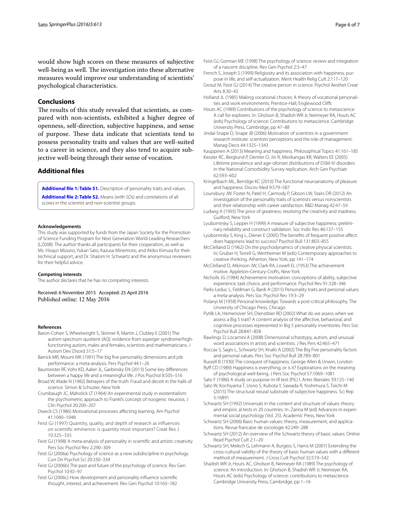would show high scores on these measures of subjective well-being as well. The investigation into these alternative measures would improve our understanding of scientists' psychological characteristics.

#### **Conclusions**

The results of this study revealed that scientists, as compared with non-scientists, exhibited a higher degree of openness, self-direction, subjective happiness, and sense of purpose. These data indicate that scientists tend to possess personality traits and values that are well-suited to a career in science, and they also tend to acquire subjective well-being through their sense of vocation.

## **Additional files**

<span id="page-5-27"></span>**[Additional file 1: Table S1.](http://dx.doi.org/10.1186/s40064-016-2225-2)** Description of personality traits and values. **[Additional file 2: Table S2.](http://dx.doi.org/10.1186/s40064-016-2225-2)** Means (with *SD*s) and correlations of all scores in the scientist and non-scientist groups.

#### **Acknowledgements**

This study was supported by funds from the Japan Society for the Promotion of Science Funding Program for Next Generation World-Leading Researchers (LZ008). The author thanks all participants for their cooperation, as well as Ms. Hisayo Mizuno, Yukari Sato, Kazusa Minemoto, and Akiko Kimura for their technical support, and Dr. Shalom H. Schwartz and the anonymous reviewers for their helpful advice.

#### **Competing interests**

The author declares that he has no competing interests.

Received: 6 November 2015 Accepted: 25 April 2016 Published online: 12 May 2016

#### **References**

- <span id="page-5-38"></span>Baron-Cohen S, Wheelwright S, Skinner R, Martin J, Clubley E (2001) The autism-spectrum quotient (AQ): evidence from asperger syndrome/highfunctioning autism, males and females, scientists and mathematicians. J Autism Dev Disord 31:5–17
- <span id="page-5-9"></span>Barrick MR, Mount MK (1991) The big five personality dimensions and job performance: a meta-analysis. Pers Psychol 44:1–26
- <span id="page-5-21"></span>Baumeister RF, Vohs KD, Aaker JL, Garbinsky EN (2013) Some key differences between a happy life and a meaningful life. J Pos Psychol 8:505–516
- <span id="page-5-16"></span>Broad W, Wade N (1982) Betrayers of the truth: Fraud and deceit in the halls of science. Simon & Schuster, New York
- <span id="page-5-25"></span>Crumbaugh JC, Maholick LT (1964) An experimental study in existentialism: the psychometric approach to Frankl's concept of noogenic neurosis. J Clin Psychol 20:200–207
- <span id="page-5-39"></span>Dweck CS (1986) Motivational processes affecting learning. Am Psychol 41:1040–1048
- <span id="page-5-36"></span>Feist GJ (1997) Quantity, quality, and depth of research as influences on scientific eminence: is quantity most important? Creat Res J 10:325–335
- <span id="page-5-10"></span>Feist GJ (1998) A meta-analysis of personality in scientific and artistic creativity. Pers Soc Psychol Rev 2:290–309
- <span id="page-5-11"></span>Feist GJ (2006a) Psychology of science as a new subdiscipline in psychology. Curr Dir Psychol Sci 20:330–334
- <span id="page-5-0"></span>Feist GJ (2006b) The past and future of the psychology of science. Rev Gen Psychol 10:92–97
- <span id="page-5-8"></span>Feist GJ (2006c) How development and personality influence scientific thought, interest, and achievement. Rev Gen Psychol 10:163–182
- <span id="page-5-1"></span>Feist GJ, Gorman ME (1998) The psychology of science: review and integration of a nascent discipline. Rev Gen Psychol 2:3–47
- <span id="page-5-34"></span>French S, Joseph S (1999) Religiosity and its association with happiness, purpose in life, and self-actualization. Ment Health Relig Cult 2:117–120
- <span id="page-5-7"></span>Grosul M, Feist GJ (2014) The creative person in science. Psychol Aesthet Creat Arts 8:30–43
- <span id="page-5-3"></span>Holland JL (1985) Making vocational choices: A theory of vocational personalities and work environments. Prentice-Hall, Englewood Cliffs
- <span id="page-5-4"></span>Houts AC (1989) Contributions of the psychology of science to metascience: A call for explorers. In: Gholson B, Shadish WR Jr, Neimeyer RA, Houts AC (eds) Psychology of science: Contributions to metascience. Cambridge University Press, Cambridge, pp 47–88
- <span id="page-5-17"></span>Jindal-Snape D, Snape JB (2006) Motivation of scientists in a government research institute: scientists' perceptions and the role of management. Manag Decis 44:1325–1343

<span id="page-5-22"></span>Kauppinen A (2013) Meaning and happiness. Philosophical Topics 41:161–185

- <span id="page-5-31"></span>Kessler RC, Berglund P, Demler O, Jin R, Merikangas KR, Walters EE (2005) Lifetime prevalence and age-ofonset distributions of DSM-IV disorders in the National Comorbidity Survey replication. Arch Gen Psychiatr 62:593–602
- <span id="page-5-23"></span>Kringelbach ML, Berridge KC (2010) The functional neuroanatomy of pleasure and happiness. Discov Med 9:579–587
- <span id="page-5-29"></span><span id="page-5-6"></span>Lounsbury JW, Foster N, Patel H, Carmody P, Gibson LW, Stairs DR (2012) An investigation of the personality traits of scientists versus nonscientists and their relationship with career satisfaction. R&D Manag 42:47–59
- <span id="page-5-19"></span>Ludwig A (1995) The price of greatness: resolving the creativity and madness. Guilford, New York
- <span id="page-5-24"></span>Lyubomirsky S, Lepper H (1999) A measure of subjective happiness: preliminary reliability and construct validation. Soc Indic Res 46:137–155
- <span id="page-5-37"></span>Lyubomirsky S, King L, Diener E (2005) The benefits of frequent positive affect: does happiness lead to success? Psychol Bull 131:803–855
- <span id="page-5-12"></span>McClelland D (1962) On the psychodynamics of creative physical scientists. In: Gruber H, Terrell G, Wertheimer M (eds) Contemporary approaches to creative thinking. Atherton, New York, pp 141–174
- <span id="page-5-41"></span>McClelland D, Atkinson JW, Clark RA, Lowell EL (1953) The achievement motive. Appleton-Century-Crofts, New York
- <span id="page-5-40"></span>Nicholls JG (1984) Achievement motivation: conceptions of ability, subjective experience, task choice, and performance. Psychol Rev 91:328–346
- <span id="page-5-32"></span>Parks-Leduc L, Feldman G, Bardi A (2015) Personality traits and personal values: a meta-analysis. Pers Soc Psychol Rev 19:3–29
- <span id="page-5-15"></span>Polanyi M (1958) Personal knowledge: Towards a post-critical philosophy. The Unviersity of Chicago Press, Chicago
- <span id="page-5-5"></span>Pytlik LA, Hemenover SH, Dienstbier RD (2002) What do we assess when we assess a Big 5 trait? A content analysis of the affective, behavioral, and cognitive processes represented in Big 5 personality inventories. Pers Soc Psychol Bull 28:847–858
- <span id="page-5-20"></span>Rawlings D, Locarnini A (2008) Dimensional schizotypy, autism, and unusual word associations in artists and scientists. J Res Pers 42:465–471
- <span id="page-5-33"></span>Roccas S, Sagiv L, Schwartz SH, Knafo A (2002) The Big Five personality factors and personal values. Pers Soc Psychol Bull 28:789–801
- <span id="page-5-42"></span><span id="page-5-18"></span>Russell B (1930) The conquest of happiness. George Allen & Unwin, London Ryff CD (1989) Happiness is everything, or is it? Explorations on the meaning of psychological well-being. J Pers Soc Psychol 57:1069–1081
- <span id="page-5-26"></span>Sato F (1986) A study on purpose-in-lif test (PIL) I. Artes liberales 39:125–140
- <span id="page-5-35"></span>Sato W, Kochiyama T, Uono S, Kubota Y, Sawada R, Yoshimura S, Toichi M (2015) The structural neural substrate of subjective happiness. Sci Rep 5:16891
- <span id="page-5-13"></span>Schwartz SH (1992) Universals in the content and structure of values: theory and empiric al tests in 20 countries. In: Zanna M (ed) Advances in experimental social psychology (Vol. 25). Academic Press, New York
- <span id="page-5-30"></span>Schwartz SH (2006) Basic human values: theory, measurement, and applications. Revue francaise de sociologie 42:249–288
- <span id="page-5-14"></span>Schwartz SH (2012) An overview of the Schwartz theory of basic values. Online Read Psychol Cult 2:1–20
- <span id="page-5-28"></span>Schwartz SH, Melech G, Lehmann A, Burgess S, Harris M (2001) Extending the cross-cultural validity of the theory of basic human values with a different method of measurement. J Cross Cult Psychol 32:519–542
- <span id="page-5-2"></span>Shadish WR Jr, Houts AC, Gholson B, Neimeyer RA (1989) The psychology of science: An introduction. In: Gholson B, Shadish WR Jr, Neimeyer RA, Houts AC (eds) Psychology of science: contributions to metascience. Cambridge University Press, Cambridge, pp 1–16